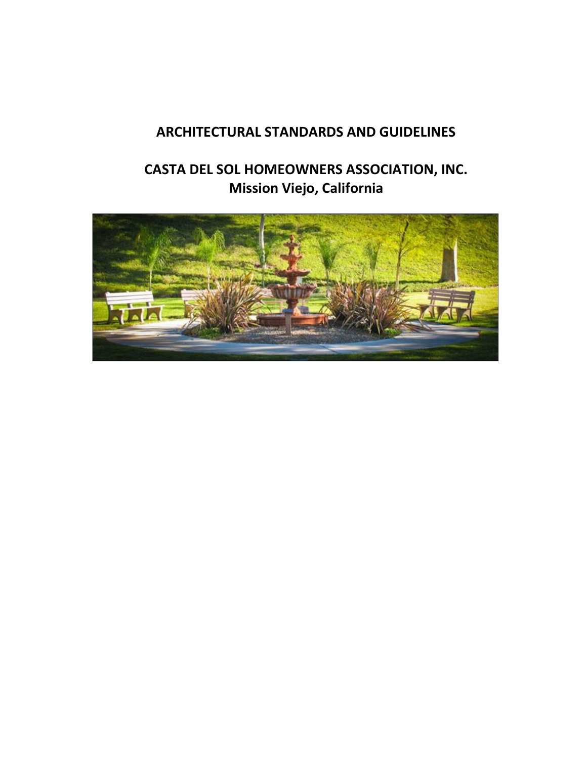# **ARCHITECTURAL STANDARDS AND GUIDELINES**

# **CASTA DEL SOL HOMEOWNERS ASSOCIATION, INC. Mission Viejo, California**

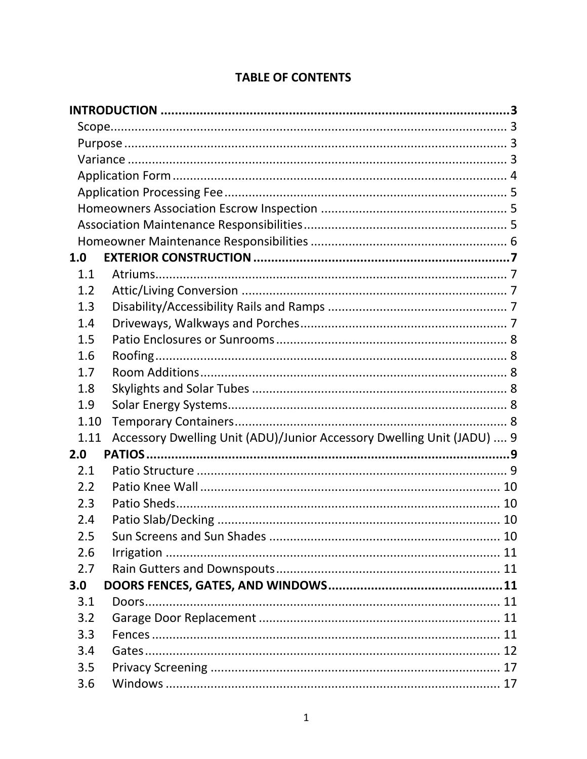| 1.0  |                                                                        |  |
|------|------------------------------------------------------------------------|--|
| 1.1  |                                                                        |  |
| 1.2  |                                                                        |  |
| 1.3  |                                                                        |  |
| 1.4  |                                                                        |  |
| 1.5  |                                                                        |  |
| 1.6  |                                                                        |  |
| 1.7  |                                                                        |  |
| 1.8  |                                                                        |  |
| 1.9  |                                                                        |  |
| 1.10 |                                                                        |  |
| 1.11 | Accessory Dwelling Unit (ADU)/Junior Accessory Dwelling Unit (JADU)  9 |  |
| 2.0  |                                                                        |  |
| 2.1  |                                                                        |  |
| 2.2  |                                                                        |  |
| 2.3  |                                                                        |  |
| 2.4  |                                                                        |  |
| 2.5  |                                                                        |  |
| 2.6  |                                                                        |  |
| 2.7  |                                                                        |  |
| 3.0  |                                                                        |  |
| 3.1  |                                                                        |  |
| 3.2  |                                                                        |  |
| 3.3  |                                                                        |  |
| 3.4  |                                                                        |  |
| 3.5  |                                                                        |  |
| 3.6  |                                                                        |  |

#### **TABLE OF CONTENTS**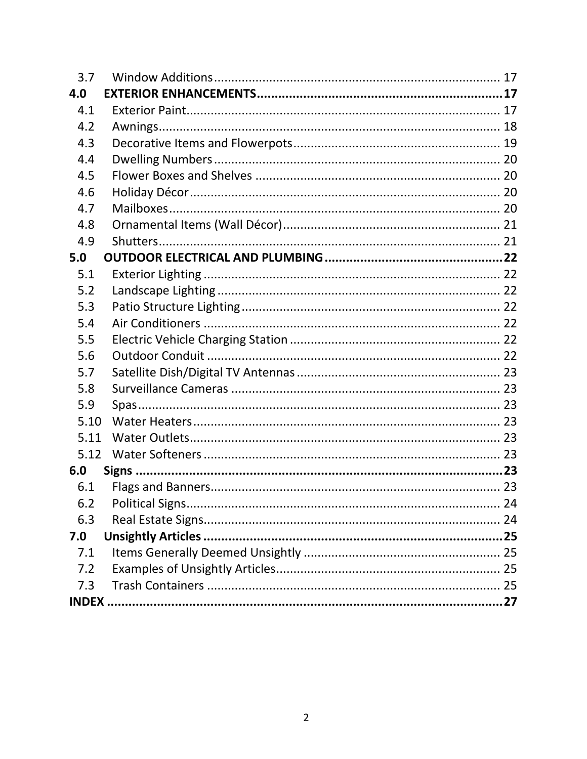| 3.7  |  |  |  |  |  |
|------|--|--|--|--|--|
| 4.0  |  |  |  |  |  |
| 4.1  |  |  |  |  |  |
| 4.2  |  |  |  |  |  |
| 4.3  |  |  |  |  |  |
| 4.4  |  |  |  |  |  |
| 4.5  |  |  |  |  |  |
| 4.6  |  |  |  |  |  |
| 4.7  |  |  |  |  |  |
| 4.8  |  |  |  |  |  |
| 4.9  |  |  |  |  |  |
| 5.0  |  |  |  |  |  |
| 5.1  |  |  |  |  |  |
| 5.2  |  |  |  |  |  |
| 5.3  |  |  |  |  |  |
| 5.4  |  |  |  |  |  |
| 5.5  |  |  |  |  |  |
| 5.6  |  |  |  |  |  |
| 5.7  |  |  |  |  |  |
| 5.8  |  |  |  |  |  |
| 5.9  |  |  |  |  |  |
| 5.10 |  |  |  |  |  |
| 5.11 |  |  |  |  |  |
| 5.12 |  |  |  |  |  |
| 6.0  |  |  |  |  |  |
| 6.1  |  |  |  |  |  |
| 6.2  |  |  |  |  |  |
| 6.3  |  |  |  |  |  |
| 7.0  |  |  |  |  |  |
| 7.1  |  |  |  |  |  |
| 7.2  |  |  |  |  |  |
| 7.3  |  |  |  |  |  |
|      |  |  |  |  |  |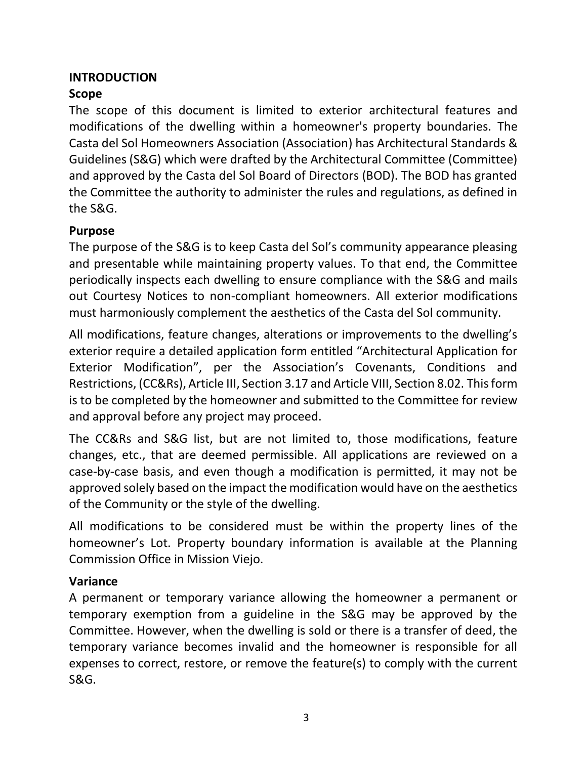#### <span id="page-3-0"></span>**INTRODUCTION**

# <span id="page-3-1"></span>**Scope**

The scope of this document is limited to exterior architectural features and modifications of the dwelling within a homeowner's property boundaries. The Casta del Sol Homeowners Association (Association) has Architectural Standards & Guidelines (S&G) which were drafted by the Architectural Committee (Committee) and approved by the Casta del Sol Board of Directors (BOD). The BOD has granted the Committee the authority to administer the rules and regulations, as defined in the S&G.

### <span id="page-3-2"></span>**Purpose**

The purpose of the S&G is to keep Casta del Sol's community appearance pleasing and presentable while maintaining property values. To that end, the Committee periodically inspects each dwelling to ensure compliance with the S&G and mails out Courtesy Notices to non-compliant homeowners. All exterior modifications must harmoniously complement the aesthetics of the Casta del Sol community.

All modifications, feature changes, alterations or improvements to the dwelling's exterior require a detailed application form entitled "Architectural Application for Exterior Modification", per the Association's Covenants, Conditions and Restrictions, (CC&Rs), Article III, Section 3.17 and Article VIII, Section 8.02. This form is to be completed by the homeowner and submitted to the Committee for review and approval before any project may proceed.

The CC&Rs and S&G list, but are not limited to, those modifications, feature changes, etc., that are deemed permissible. All applications are reviewed on a case-by-case basis, and even though a modification is permitted, it may not be approved solely based on the impact the modification would have on the aesthetics of the Community or the style of the dwelling.

All modifications to be considered must be within the property lines of the homeowner's Lot. Property boundary information is available at the Planning Commission Office in Mission Viejo.

# <span id="page-3-3"></span>**Variance**

A permanent or temporary variance allowing the homeowner a permanent or temporary exemption from a guideline in the S&G may be approved by the Committee. However, when the dwelling is sold or there is a transfer of deed, the temporary variance becomes invalid and the homeowner is responsible for all expenses to correct, restore, or remove the feature(s) to comply with the current S&G.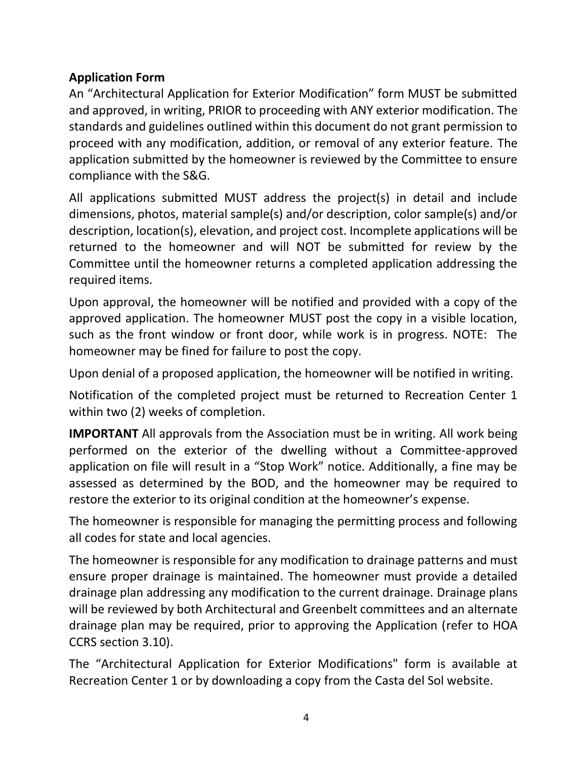# <span id="page-4-0"></span>**Application Form**

An "Architectural Application for Exterior Modification" form MUST be submitted and approved, in writing, PRIOR to proceeding with ANY exterior modification. The standards and guidelines outlined within this document do not grant permission to proceed with any modification, addition, or removal of any exterior feature. The application submitted by the homeowner is reviewed by the Committee to ensure compliance with the S&G.

All applications submitted MUST address the project(s) in detail and include dimensions, photos, material sample(s) and/or description, color sample(s) and/or description, location(s), elevation, and project cost. Incomplete applications will be returned to the homeowner and will NOT be submitted for review by the Committee until the homeowner returns a completed application addressing the required items.

Upon approval, the homeowner will be notified and provided with a copy of the approved application. The homeowner MUST post the copy in a visible location, such as the front window or front door, while work is in progress. NOTE: The homeowner may be fined for failure to post the copy.

Upon denial of a proposed application, the homeowner will be notified in writing.

Notification of the completed project must be returned to Recreation Center 1 within two (2) weeks of completion.

**IMPORTANT** All approvals from the Association must be in writing. All work being performed on the exterior of the dwelling without a Committee-approved application on file will result in a "Stop Work" notice. Additionally, a fine may be assessed as determined by the BOD, and the homeowner may be required to restore the exterior to its original condition at the homeowner's expense.

The homeowner is responsible for managing the permitting process and following all codes for state and local agencies.

The homeowner is responsible for any modification to drainage patterns and must ensure proper drainage is maintained. The homeowner must provide a detailed drainage plan addressing any modification to the current drainage. Drainage plans will be reviewed by both Architectural and Greenbelt committees and an alternate drainage plan may be required, prior to approving the Application (refer to HOA CCRS section 3.10).

The "Architectural Application for Exterior Modifications" form is available at Recreation Center 1 or by downloading a copy from the Casta del Sol website.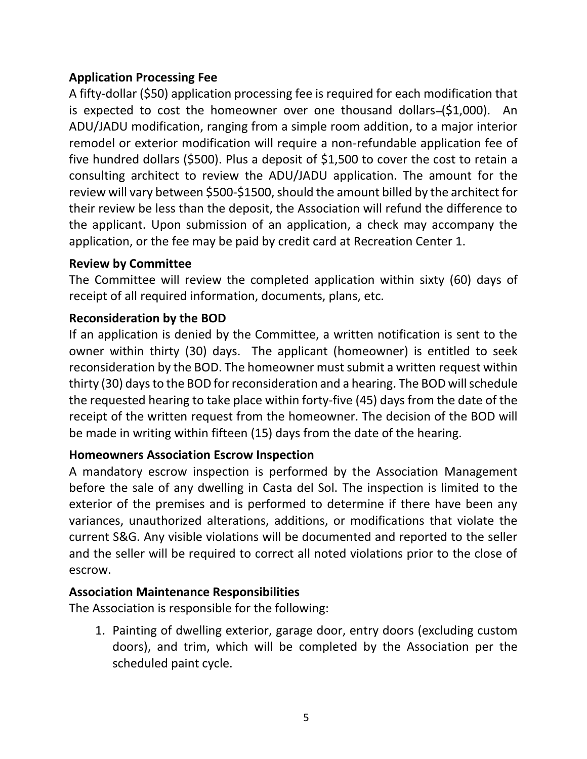### <span id="page-5-0"></span>**Application Processing Fee**

A fifty-dollar (\$50) application processing fee is required for each modification that is expected to cost the homeowner over one thousand dollars- $(51,000)$ . An ADU/JADU modification, ranging from a simple room addition, to a major interior remodel or exterior modification will require a non-refundable application fee of five hundred dollars (\$500). Plus a deposit of \$1,500 to cover the cost to retain a consulting architect to review the ADU/JADU application. The amount for the review will vary between \$500-\$1500, should the amount billed by the architect for their review be less than the deposit, the Association will refund the difference to the applicant. Upon submission of an application, a check may accompany the application, or the fee may be paid by credit card at Recreation Center 1.

#### **Review by Committee**

The Committee will review the completed application within sixty (60) days of receipt of all required information, documents, plans, etc.

#### **Reconsideration by the BOD**

If an application is denied by the Committee, a written notification is sent to the owner within thirty (30) days. The applicant (homeowner) is entitled to seek reconsideration by the BOD. The homeowner must submit a written request within thirty (30) days to the BOD for reconsideration and a hearing. The BOD will schedule the requested hearing to take place within forty-five (45) days from the date of the receipt of the written request from the homeowner. The decision of the BOD will be made in writing within fifteen (15) days from the date of the hearing.

#### <span id="page-5-1"></span>**Homeowners Association Escrow Inspection**

A mandatory escrow inspection is performed by the Association Management before the sale of any dwelling in Casta del Sol. The inspection is limited to the exterior of the premises and is performed to determine if there have been any variances, unauthorized alterations, additions, or modifications that violate the current S&G. Any visible violations will be documented and reported to the seller and the seller will be required to correct all noted violations prior to the close of escrow.

#### **Association Maintenance Responsibilities**

The Association is responsible for the following:

<span id="page-5-2"></span>1. Painting of dwelling exterior, garage door, entry doors (excluding custom doors), and trim, which will be completed by the Association per the scheduled paint cycle.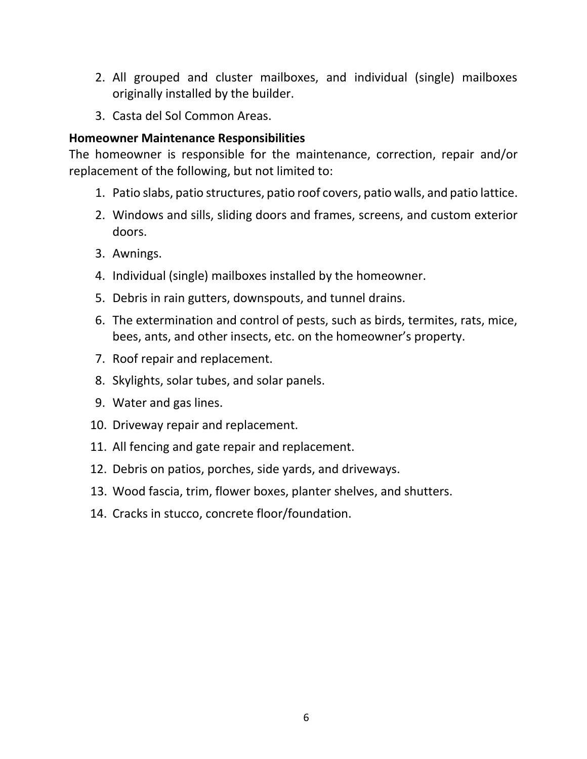- 2. All grouped and cluster mailboxes, and individual (single) mailboxes originally installed by the builder.
- <span id="page-6-0"></span>3. Casta del Sol Common Areas.

#### **Homeowner Maintenance Responsibilities**

The homeowner is responsible for the maintenance, correction, repair and/or replacement of the following, but not limited to:

- 1. Patio slabs, patio structures, patio roof covers, patio walls, and patio lattice.
- 2. Windows and sills, sliding doors and frames, screens, and custom exterior doors.
- 3. Awnings.
- 4. Individual (single) mailboxes installed by the homeowner.
- 5. Debris in rain gutters, downspouts, and tunnel drains.
- 6. The extermination and control of pests, such as birds, termites, rats, mice, bees, ants, and other insects, etc. on the homeowner's property.
- 7. Roof repair and replacement.
- 8. Skylights, solar tubes, and solar panels.
- 9. Water and gas lines.
- 10. Driveway repair and replacement.
- 11. All fencing and gate repair and replacement.
- 12. Debris on patios, porches, side yards, and driveways.
- 13. Wood fascia, trim, flower boxes, planter shelves, and shutters.
- 14. Cracks in stucco, concrete floor/foundation.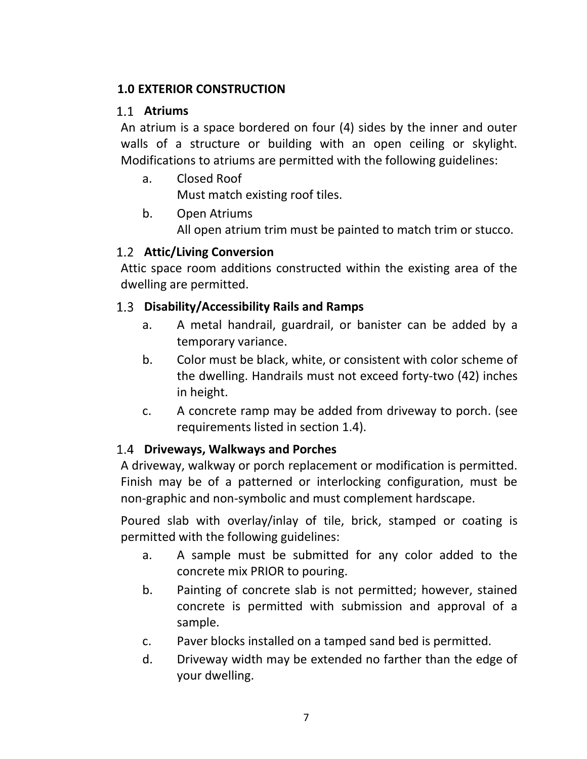### <span id="page-7-0"></span>**1.0 EXTERIOR CONSTRUCTION**

#### <span id="page-7-1"></span>**Atriums**

An atrium is a space bordered on four (4) sides by the inner and outer walls of a structure or building with an open ceiling or skylight. Modifications to atriums are permitted with the following guidelines:

a. Closed Roof

Must match existing roof tiles.

b. Open Atriums

All open atrium trim must be painted to match trim or stucco.

# <span id="page-7-2"></span>**Attic/Living Conversion**

Attic space room additions constructed within the existing area of the dwelling are permitted.

#### <span id="page-7-3"></span>**Disability/Accessibility Rails and Ramps**

- a. A metal handrail, guardrail, or banister can be added by a temporary variance.
- b. Color must be black, white, or consistent with color scheme of the dwelling. Handrails must not exceed forty-two (42) inches in height.
- c. A concrete ramp may be added from driveway to porch. (see requirements listed in section 1.4).

### <span id="page-7-4"></span>**Driveways, Walkways and Porches**

A driveway, walkway or porch replacement or modification is permitted. Finish may be of a patterned or interlocking configuration, must be non-graphic and non-symbolic and must complement hardscape.

Poured slab with overlay/inlay of tile, brick, stamped or coating is permitted with the following guidelines:

- a. A sample must be submitted for any color added to the concrete mix PRIOR to pouring.
- b. Painting of concrete slab is not permitted; however, stained concrete is permitted with submission and approval of a sample.
- c. Paver blocks installed on a tamped sand bed is permitted.
- d. Driveway width may be extended no farther than the edge of your dwelling.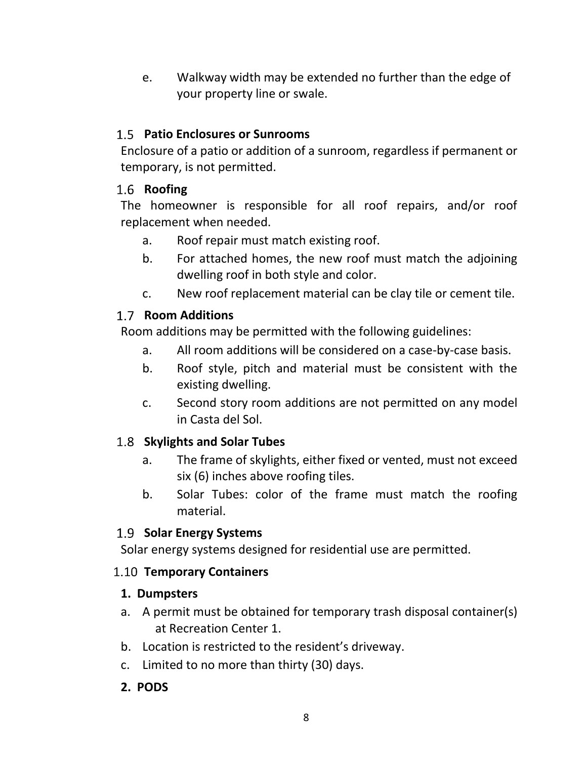e. Walkway width may be extended no further than the edge of your property line or swale.

# <span id="page-8-0"></span>**Patio Enclosures or Sunrooms**

Enclosure of a patio or addition of a sunroom, regardless if permanent or temporary, is not permitted.

# <span id="page-8-1"></span>1.6 **Roofing**

The homeowner is responsible for all roof repairs, and/or roof replacement when needed.

- a. Roof repair must match existing roof.
- b. For attached homes, the new roof must match the adjoining dwelling roof in both style and color.
- c. New roof replacement material can be clay tile or cement tile.

# <span id="page-8-2"></span>1.7 **Room Additions**

Room additions may be permitted with the following guidelines:

- a. All room additions will be considered on a case-by-case basis.
- b. Roof style, pitch and material must be consistent with the existing dwelling.
- c. Second story room additions are not permitted on any model in Casta del Sol.

# <span id="page-8-3"></span>**Skylights and Solar Tubes**

- a. The frame of skylights, either fixed or vented, must not exceed six (6) inches above roofing tiles.
- b. Solar Tubes: color of the frame must match the roofing material.

# <span id="page-8-4"></span>**Solar Energy Systems**

Solar energy systems designed for residential use are permitted.

### <span id="page-8-5"></span>**Temporary Containers**

### **1. Dumpsters**

- a. A permit must be obtained for temporary trash disposal container(s) at Recreation Center 1.
- b. Location is restricted to the resident's driveway.
- c. Limited to no more than thirty (30) days.
- **2. PODS**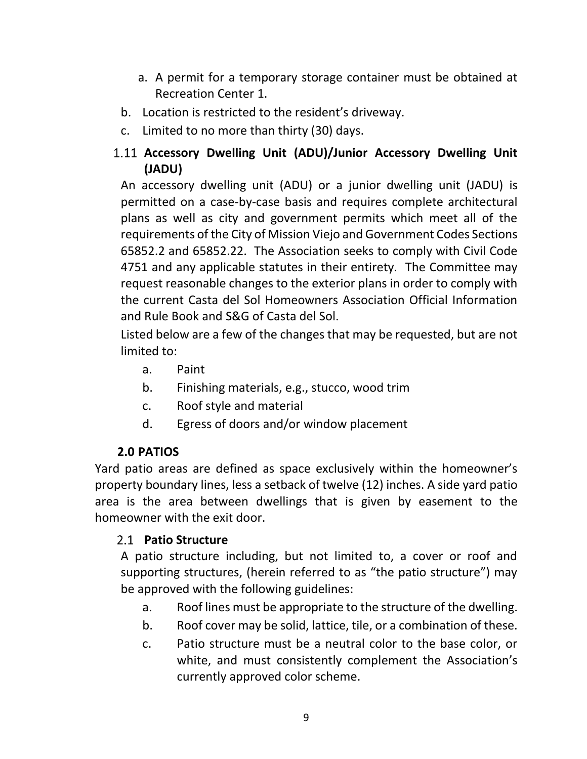- a. A permit for a temporary storage container must be obtained at Recreation Center 1.
- b. Location is restricted to the resident's driveway.
- c. Limited to no more than thirty (30) days.

# <span id="page-9-0"></span>**Accessory Dwelling Unit (ADU)/Junior Accessory Dwelling Unit (JADU)**

An accessory dwelling unit (ADU) or a junior dwelling unit (JADU) is permitted on a case-by-case basis and requires complete architectural plans as well as city and government permits which meet all of the requirements of the City of Mission Viejo and Government Codes Sections 65852.2 and 65852.22. The Association seeks to comply with Civil Code 4751 and any applicable statutes in their entirety. The Committee may request reasonable changes to the exterior plans in order to comply with the current Casta del Sol Homeowners Association Official Information and Rule Book and S&G of Casta del Sol.

Listed below are a few of the changes that may be requested, but are not limited to:

- a. Paint
- b. Finishing materials, e.g., stucco, wood trim
- c. Roof style and material
- d. Egress of doors and/or window placement

### **2.0 PATIOS**

<span id="page-9-1"></span>Yard patio areas are defined as space exclusively within the homeowner's property boundary lines, less a setback of twelve (12) inches. A side yard patio area is the area between dwellings that is given by easement to the homeowner with the exit door.

### <span id="page-9-2"></span>**Patio Structure**

A patio structure including, but not limited to, a cover or roof and supporting structures, (herein referred to as "the patio structure") may be approved with the following guidelines:

- a. Roof lines must be appropriate to the structure of the dwelling.
- b. Roof cover may be solid, lattice, tile, or a combination of these.
- c. Patio structure must be a neutral color to the base color, or white, and must consistently complement the Association's currently approved color scheme.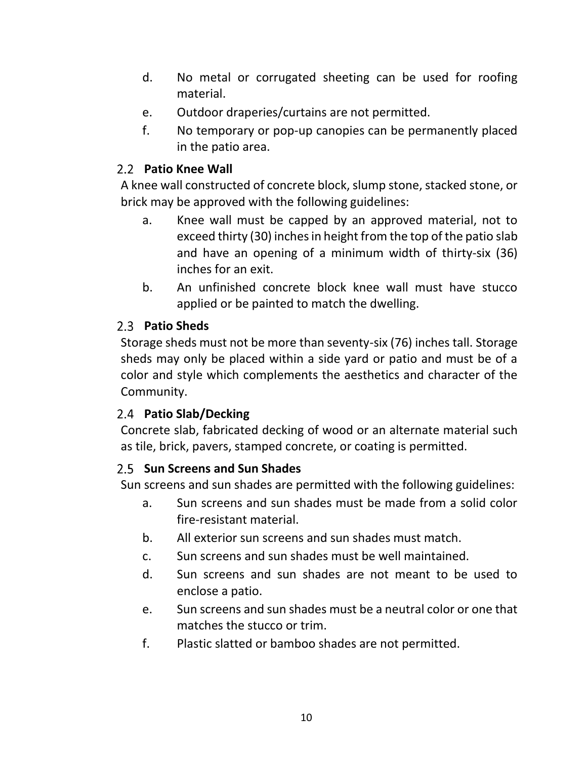- d. No metal or corrugated sheeting can be used for roofing material.
- e. Outdoor draperies/curtains are not permitted.
- f. No temporary or pop-up canopies can be permanently placed in the patio area.

# <span id="page-10-0"></span>**Patio Knee Wall**

A knee wall constructed of concrete block, slump stone, stacked stone, or brick may be approved with the following guidelines:

- a. Knee wall must be capped by an approved material, not to exceed thirty (30) inches in height from the top of the patio slab and have an opening of a minimum width of thirty-six (36) inches for an exit.
- b. An unfinished concrete block knee wall must have stucco applied or be painted to match the dwelling.

# <span id="page-10-1"></span>**Patio Sheds**

Storage sheds must not be more than seventy-six (76) inches tall. Storage sheds may only be placed within a side yard or patio and must be of a color and style which complements the aesthetics and character of the Community.

### <span id="page-10-2"></span>**Patio Slab/Decking**

Concrete slab, fabricated decking of wood or an alternate material such as tile, brick, pavers, stamped concrete, or coating is permitted.

### <span id="page-10-3"></span>**Sun Screens and Sun Shades**

Sun screens and sun shades are permitted with the following guidelines:

- a. Sun screens and sun shades must be made from a solid color fire-resistant material.
- b. All exterior sun screens and sun shades must match.
- c. Sun screens and sun shades must be well maintained.
- d. Sun screens and sun shades are not meant to be used to enclose a patio.
- e. Sun screens and sun shades must be a neutral color or one that matches the stucco or trim.
- f. Plastic slatted or bamboo shades are not permitted.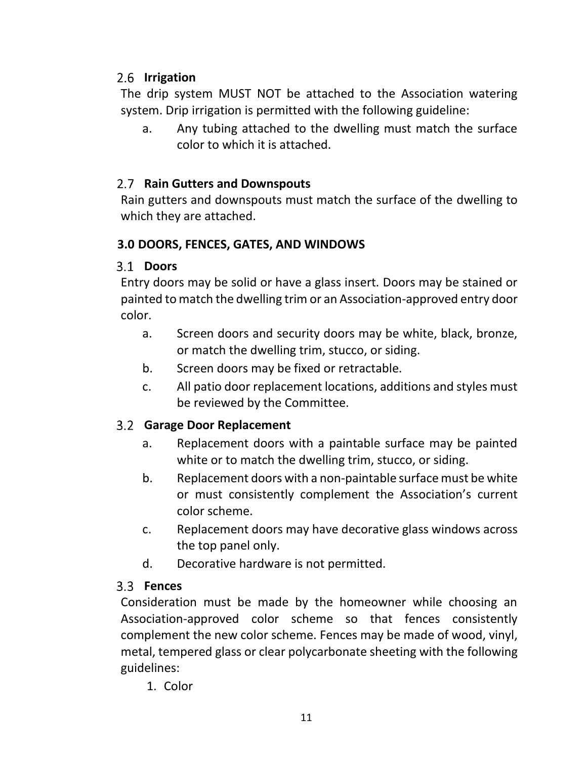# <span id="page-11-0"></span>2.6 Irrigation

The drip system MUST NOT be attached to the Association watering system. Drip irrigation is permitted with the following guideline:

a. Any tubing attached to the dwelling must match the surface color to which it is attached.

# <span id="page-11-1"></span>**Rain Gutters and Downspouts**

Rain gutters and downspouts must match the surface of the dwelling to which they are attached.

### <span id="page-11-2"></span>**3.0 DOORS, FENCES, GATES, AND WINDOWS**

# <span id="page-11-3"></span>**Doors**

Entry doors may be solid or have a glass insert. Doors may be stained or painted to match the dwelling trim or an Association-approved entry door color.

- a. Screen doors and security doors may be white, black, bronze, or match the dwelling trim, stucco, or siding.
- b. Screen doors may be fixed or retractable.
- c. All patio door replacement locations, additions and styles must be reviewed by the Committee.

# <span id="page-11-4"></span>**Garage Door Replacement**

- a. Replacement doors with a paintable surface may be painted white or to match the dwelling trim, stucco, or siding.
- b. Replacement doors with a non-paintable surface must be white or must consistently complement the Association's current color scheme.
- c. Replacement doors may have decorative glass windows across the top panel only.
- d. Decorative hardware is not permitted.

# <span id="page-11-5"></span>**Fences**

Consideration must be made by the homeowner while choosing an Association-approved color scheme so that fences consistently complement the new color scheme. Fences may be made of wood, vinyl, metal, tempered glass or clear polycarbonate sheeting with the following guidelines:

1. Color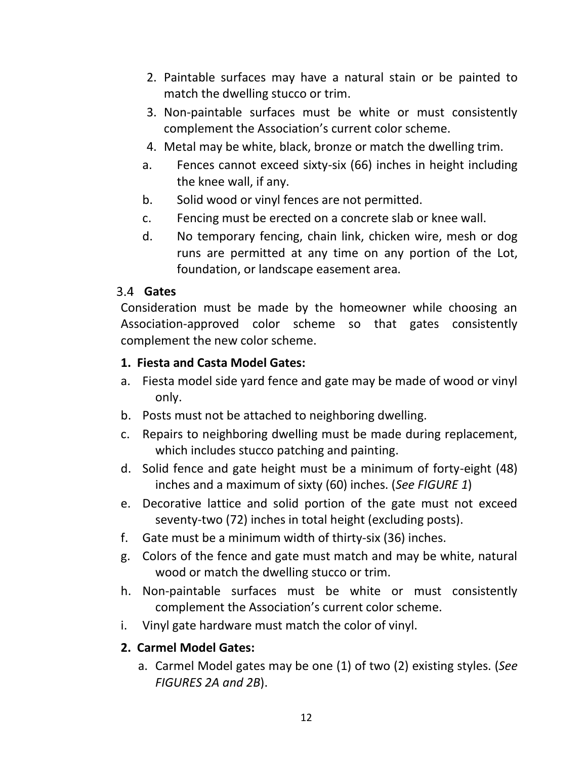- 2. Paintable surfaces may have a natural stain or be painted to match the dwelling stucco or trim.
- 3. Non-paintable surfaces must be white or must consistently complement the Association's current color scheme.
- 4. Metal may be white, black, bronze or match the dwelling trim.
- a. Fences cannot exceed sixty-six (66) inches in height including the knee wall, if any.
- b. Solid wood or vinyl fences are not permitted.
- c. Fencing must be erected on a concrete slab or knee wall.
- d. No temporary fencing, chain link, chicken wire, mesh or dog runs are permitted at any time on any portion of the Lot, foundation, or landscape easement area.

### <span id="page-12-0"></span>**Gates**

Consideration must be made by the homeowner while choosing an Association-approved color scheme so that gates consistently complement the new color scheme.

### **1. Fiesta and Casta Model Gates:**

- a. Fiesta model side yard fence and gate may be made of wood or vinyl only.
- b. Posts must not be attached to neighboring dwelling.
- c. Repairs to neighboring dwelling must be made during replacement, which includes stucco patching and painting.
- d. Solid fence and gate height must be a minimum of forty-eight (48) inches and a maximum of sixty (60) inches. (*See FIGURE 1*)
- e. Decorative lattice and solid portion of the gate must not exceed seventy-two (72) inches in total height (excluding posts).
- f. Gate must be a minimum width of thirty-six (36) inches.
- g. Colors of the fence and gate must match and may be white, natural wood or match the dwelling stucco or trim.
- h. Non-paintable surfaces must be white or must consistently complement the Association's current color scheme.
- i. Vinyl gate hardware must match the color of vinyl.

# **2. Carmel Model Gates:**

a. Carmel Model gates may be one (1) of two (2) existing styles. (*See FIGURES 2A and 2B*).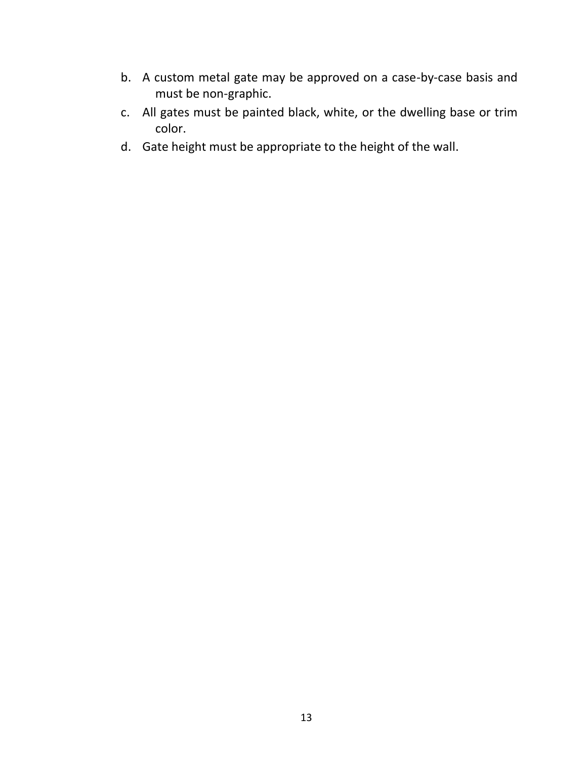- b. A custom metal gate may be approved on a case-by-case basis and must be non-graphic.
- c. All gates must be painted black, white, or the dwelling base or trim color.
- d. Gate height must be appropriate to the height of the wall.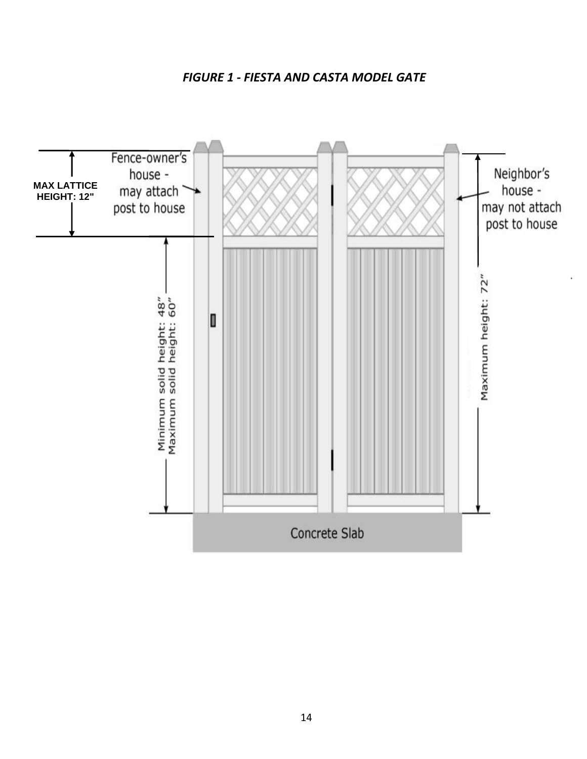*FIGURE 1 - FIESTA AND CASTA MODEL GATE*

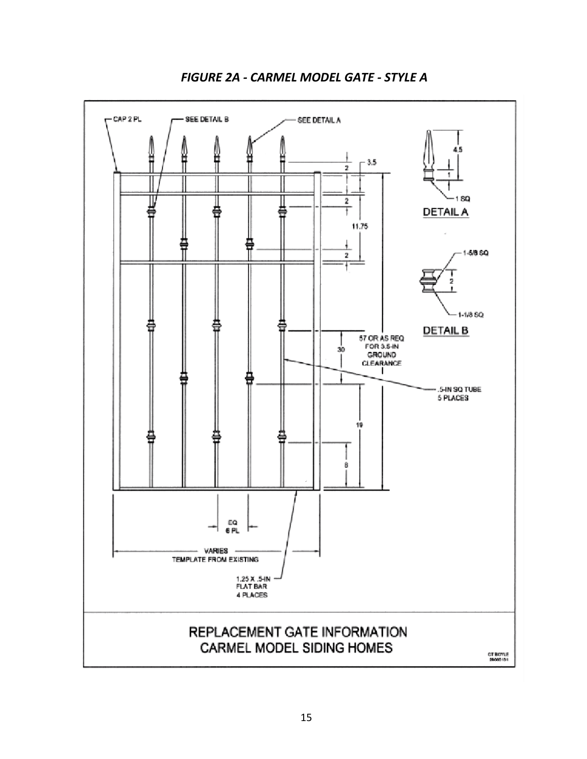

*FIGURE 2A - CARMEL MODEL GATE - STYLE A*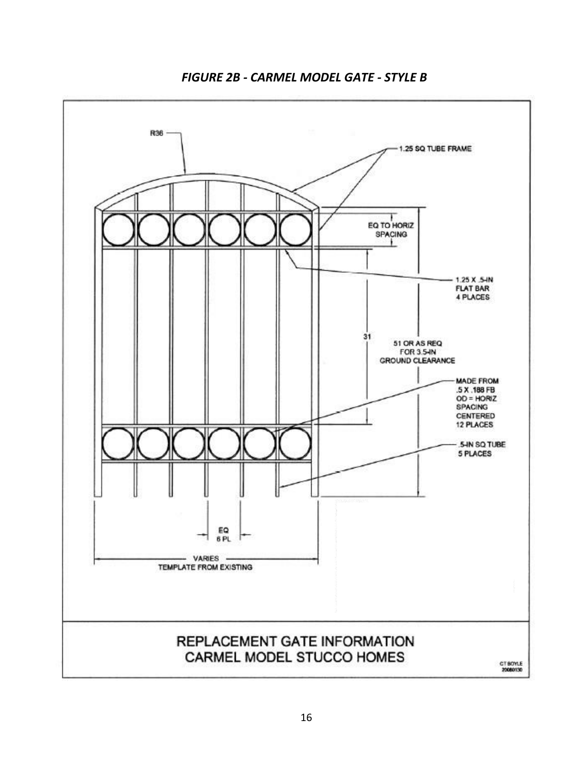

*FIGURE 2B - CARMEL MODEL GATE - STYLE B*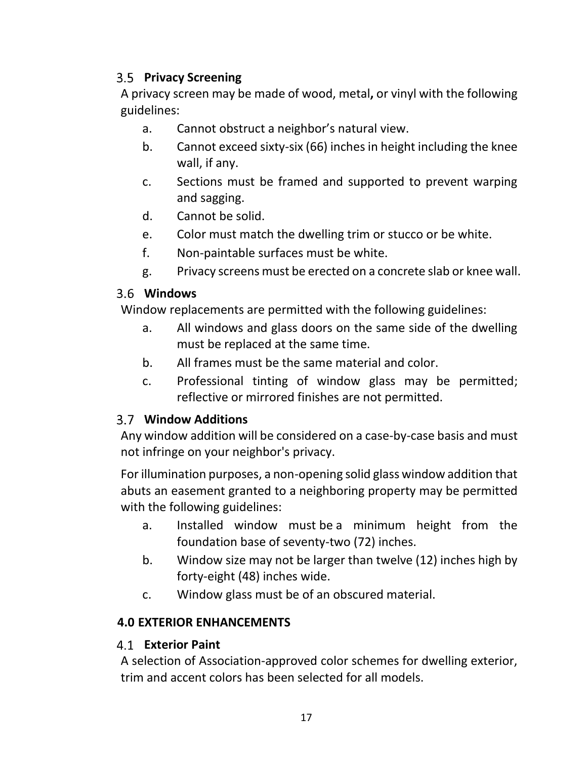# <span id="page-17-0"></span>**Privacy Screening**

A privacy screen may be made of wood, metal**,** or vinyl with the following guidelines:

- a. Cannot obstruct a neighbor's natural view.
- b. Cannot exceed sixty-six (66) inches in height including the knee wall, if any.
- c. Sections must be framed and supported to prevent warping and sagging.
- d. Cannot be solid.
- e. Color must match the dwelling trim or stucco or be white.
- f. Non-paintable surfaces must be white.
- g. Privacy screens must be erected on a concrete slab or knee wall.

# <span id="page-17-1"></span>**Windows**

Window replacements are permitted with the following guidelines:

- a. All windows and glass doors on the same side of the dwelling must be replaced at the same time.
- b. All frames must be the same material and color.
- c. Professional tinting of window glass may be permitted; reflective or mirrored finishes are not permitted.

# <span id="page-17-2"></span>**Window Additions**

Any window addition will be considered on a case-by-case basis and must not infringe on your neighbor's privacy.

For illumination purposes, a non-opening solid glass window addition that abuts an easement granted to a neighboring property may be permitted with the following guidelines:

- a. Installed window must be a minimum height from the foundation base of seventy-two (72) inches.
- b. Window size may not be larger than twelve (12) inches high by forty-eight (48) inches wide.
- c. Window glass must be of an obscured material.

### <span id="page-17-3"></span>**4.0 EXTERIOR ENHANCEMENTS**

### <span id="page-17-4"></span>**Exterior Paint**

A selection of Association-approved color schemes for dwelling exterior, trim and accent colors has been selected for all models.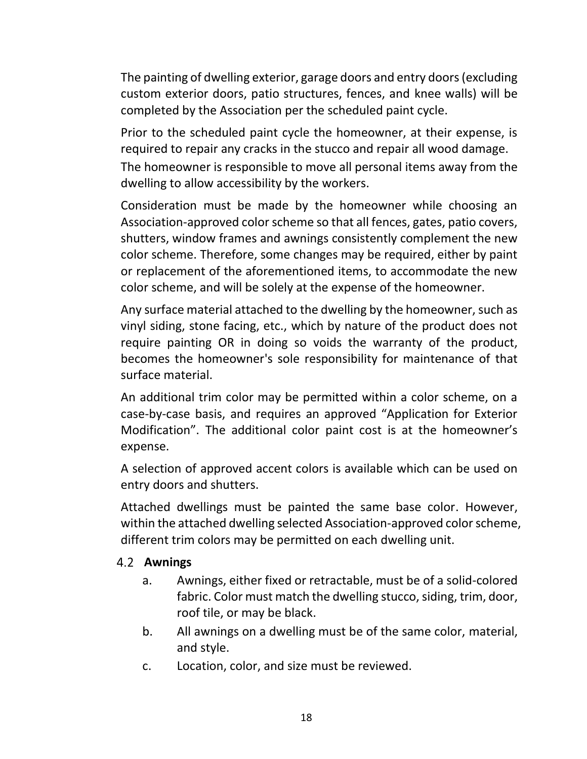The painting of dwelling exterior, garage doors and entry doors (excluding custom exterior doors, patio structures, fences, and knee walls) will be completed by the Association per the scheduled paint cycle.

Prior to the scheduled paint cycle the homeowner, at their expense, is required to repair any cracks in the stucco and repair all wood damage. The homeowner is responsible to move all personal items away from the dwelling to allow accessibility by the workers.

Consideration must be made by the homeowner while choosing an Association-approved color scheme so that all fences, gates, patio covers, shutters, window frames and awnings consistently complement the new color scheme. Therefore, some changes may be required, either by paint or replacement of the aforementioned items, to accommodate the new color scheme, and will be solely at the expense of the homeowner.

Any surface material attached to the dwelling by the homeowner, such as vinyl siding, stone facing, etc., which by nature of the product does not require painting OR in doing so voids the warranty of the product, becomes the homeowner's sole responsibility for maintenance of that surface material.

An additional trim color may be permitted within a color scheme, on a case-by-case basis, and requires an approved "Application for Exterior Modification". The additional color paint cost is at the homeowner's expense.

A selection of approved accent colors is available which can be used on entry doors and shutters.

Attached dwellings must be painted the same base color. However, within the attached dwelling selected Association-approved color scheme, different trim colors may be permitted on each dwelling unit.

#### <span id="page-18-0"></span>**Awnings**

- a. Awnings, either fixed or retractable, must be of a solid-colored fabric. Color must match the dwelling stucco, siding, trim, door, roof tile, or may be black.
- b. All awnings on a dwelling must be of the same color, material, and style.
- c. Location, color, and size must be reviewed.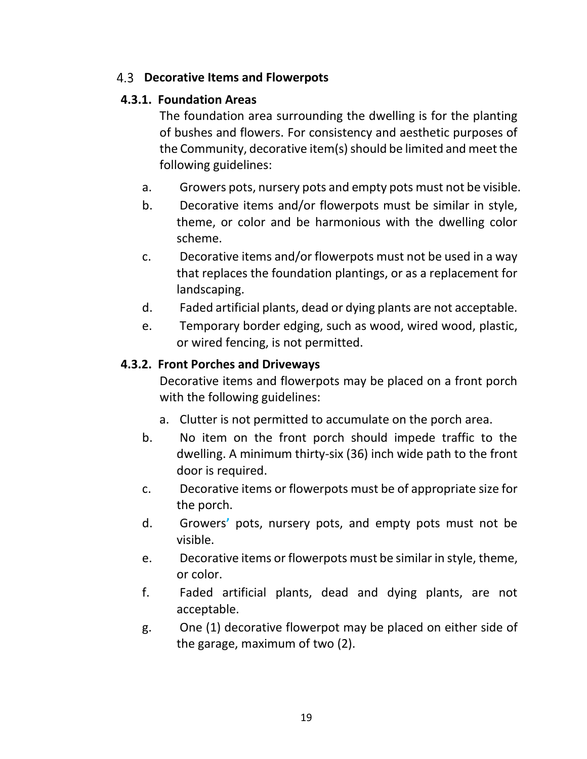### <span id="page-19-0"></span>**Decorative Items and Flowerpots**

#### **4.3.1. Foundation Areas**

The foundation area surrounding the dwelling is for the planting of bushes and flowers. For consistency and aesthetic purposes of the Community, decorative item(s) should be limited and meet the following guidelines:

- a. Growers pots, nursery pots and empty pots must not be visible.
- b. Decorative items and/or flowerpots must be similar in style, theme, or color and be harmonious with the dwelling color scheme.
- c. Decorative items and/or flowerpots must not be used in a way that replaces the foundation plantings, or as a replacement for landscaping.
- d. Faded artificial plants, dead or dying plants are not acceptable.
- e. Temporary border edging, such as wood, wired wood, plastic, or wired fencing, is not permitted.

#### **4.3.2. Front Porches and Driveways**

Decorative items and flowerpots may be placed on a front porch with the following guidelines:

- a. Clutter is not permitted to accumulate on the porch area.
- b. No item on the front porch should impede traffic to the dwelling. A minimum thirty-six (36) inch wide path to the front door is required.
- c. Decorative items or flowerpots must be of appropriate size for the porch.
- d. Growers**'** pots, nursery pots, and empty pots must not be visible.
- e. Decorative items or flowerpots must be similar in style, theme, or color.
- f. Faded artificial plants, dead and dying plants, are not acceptable.
- g. One (1) decorative flowerpot may be placed on either side of the garage, maximum of two (2).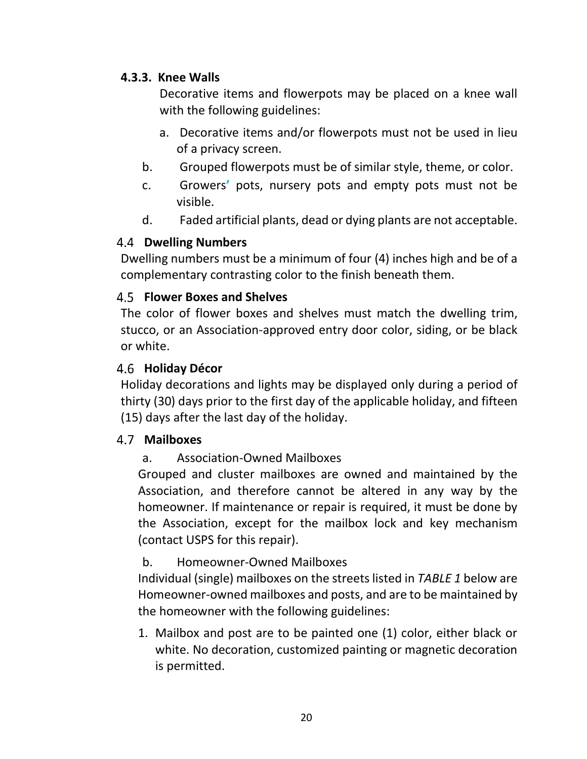#### **4.3.3. Knee Walls**

Decorative items and flowerpots may be placed on a knee wall with the following guidelines:

- a. Decorative items and/or flowerpots must not be used in lieu of a privacy screen.
- b. Grouped flowerpots must be of similar style, theme, or color.
- c. Growers**'** pots, nursery pots and empty pots must not be visible.
- d. Faded artificial plants, dead or dying plants are not acceptable.

### <span id="page-20-0"></span>**Dwelling Numbers**

Dwelling numbers must be a minimum of four (4) inches high and be of a complementary contrasting color to the finish beneath them.

# <span id="page-20-1"></span>**Flower Boxes and Shelves**

The color of flower boxes and shelves must match the dwelling trim, stucco, or an Association-approved entry door color, siding, or be black or white.

### <span id="page-20-2"></span>**Holiday Décor**

Holiday decorations and lights may be displayed only during a period of thirty (30) days prior to the first day of the applicable holiday, and fifteen (15) days after the last day of the holiday.

#### <span id="page-20-3"></span>**Mailboxes**

### a. Association-Owned Mailboxes

Grouped and cluster mailboxes are owned and maintained by the Association, and therefore cannot be altered in any way by the homeowner. If maintenance or repair is required, it must be done by the Association, except for the mailbox lock and key mechanism (contact USPS for this repair).

### b. Homeowner-Owned Mailboxes

Individual (single) mailboxes on the streets listed in *TABLE 1* below are Homeowner-owned mailboxes and posts, and are to be maintained by the homeowner with the following guidelines:

1. Mailbox and post are to be painted one (1) color, either black or white. No decoration, customized painting or magnetic decoration is permitted.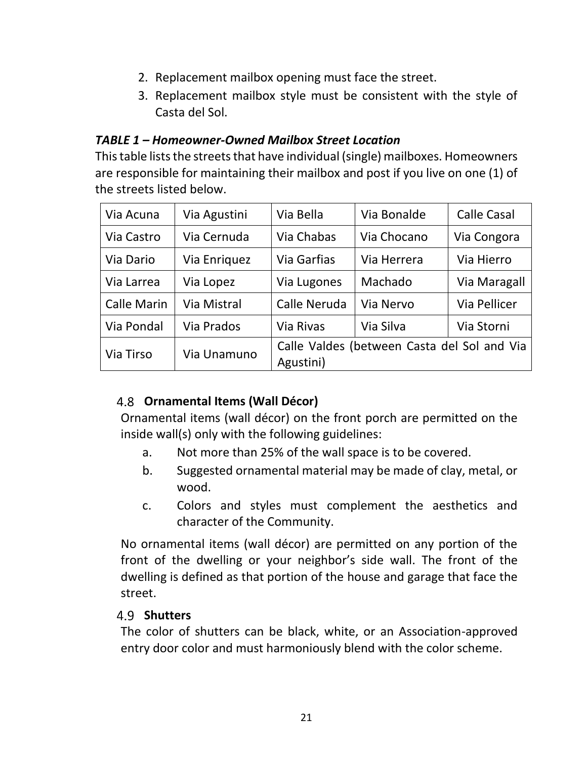- 2. Replacement mailbox opening must face the street.
- 3. Replacement mailbox style must be consistent with the style of Casta del Sol.

#### *TABLE 1 – Homeowner-Owned Mailbox Street Location*

Thistable lists the streets that have individual (single) mailboxes. Homeowners are responsible for maintaining their mailbox and post if you live on one (1) of the streets listed below.

| Via Acuna          | Via Agustini | Via Bella                                                | Via Bonalde | <b>Calle Casal</b> |
|--------------------|--------------|----------------------------------------------------------|-------------|--------------------|
| Via Castro         | Via Cernuda  | Via Chabas                                               | Via Chocano | Via Congora        |
| Via Dario          | Via Enriquez | <b>Via Garfias</b>                                       | Via Herrera | Via Hierro         |
| Via Larrea         | Via Lopez    | Via Lugones                                              | Machado     | Via Maragall       |
| <b>Calle Marin</b> | Via Mistral  | Calle Neruda                                             | Via Nervo   | Via Pellicer       |
| Via Pondal         | Via Prados   | Via Rivas                                                | Via Silva   | Via Storni         |
| Via Tirso          | Via Unamuno  | Calle Valdes (between Casta del Sol and Via<br>Agustini) |             |                    |

### <span id="page-21-0"></span>**Ornamental Items (Wall Décor)**

Ornamental items (wall décor) on the front porch are permitted on the inside wall(s) only with the following guidelines:

- a. Not more than 25% of the wall space is to be covered.
- b. Suggested ornamental material may be made of clay, metal, or wood.
- c. Colors and styles must complement the aesthetics and character of the Community.

No ornamental items (wall décor) are permitted on any portion of the front of the dwelling or your neighbor's side wall. The front of the dwelling is defined as that portion of the house and garage that face the street.

#### <span id="page-21-1"></span>4.9 **Shutters**

The color of shutters can be black, white, or an Association-approved entry door color and must harmoniously blend with the color scheme.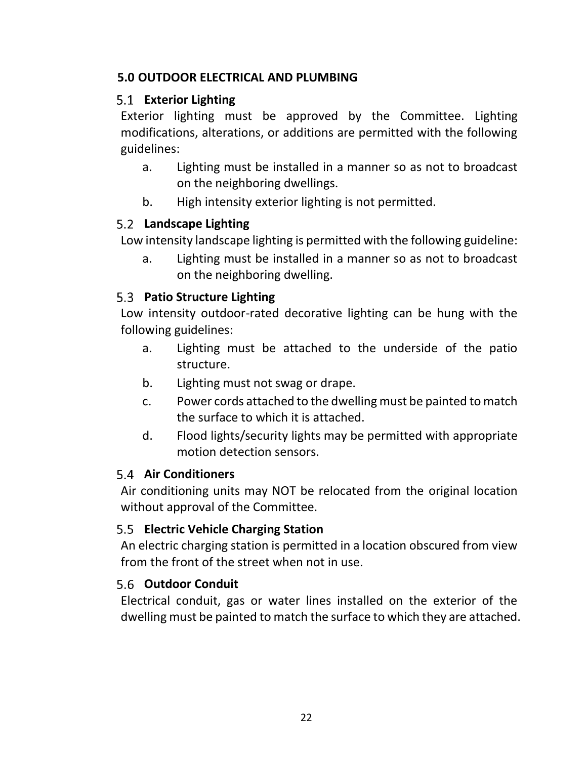#### <span id="page-22-0"></span>**5.0 OUTDOOR ELECTRICAL AND PLUMBING**

### <span id="page-22-1"></span>**Exterior Lighting**

Exterior lighting must be approved by the Committee. Lighting modifications, alterations, or additions are permitted with the following guidelines:

- a. Lighting must be installed in a manner so as not to broadcast on the neighboring dwellings.
- b. High intensity exterior lighting is not permitted.

#### <span id="page-22-2"></span>**Landscape Lighting**

Low intensity landscape lighting is permitted with the following guideline:

a. Lighting must be installed in a manner so as not to broadcast on the neighboring dwelling.

#### <span id="page-22-3"></span>**Patio Structure Lighting**

Low intensity outdoor-rated decorative lighting can be hung with the following guidelines:

- a. Lighting must be attached to the underside of the patio structure.
- b. Lighting must not swag or drape.
- c. Power cords attached to the dwelling must be painted to match the surface to which it is attached.
- d. Flood lights/security lights may be permitted with appropriate motion detection sensors.

#### <span id="page-22-4"></span>5.4 Air Conditioners

Air conditioning units may NOT be relocated from the original location without approval of the Committee.

### <span id="page-22-5"></span>**Electric Vehicle Charging Station**

An electric charging station is permitted in a location obscured from view from the front of the street when not in use.

#### <span id="page-22-6"></span>**Outdoor Conduit**

Electrical conduit, gas or water lines installed on the exterior of the dwelling must be painted to match the surface to which they are attached.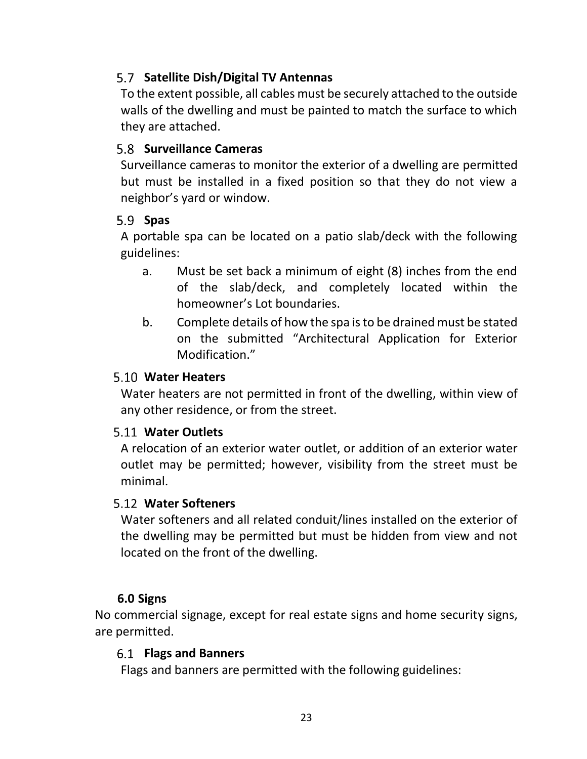# <span id="page-23-0"></span>**Satellite Dish/Digital TV Antennas**

To the extent possible, all cables must be securely attached to the outside walls of the dwelling and must be painted to match the surface to which they are attached.

#### <span id="page-23-1"></span>**Surveillance Cameras**

Surveillance cameras to monitor the exterior of a dwelling are permitted but must be installed in a fixed position so that they do not view a neighbor's yard or window.

#### <span id="page-23-2"></span>**Spas**

A portable spa can be located on a patio slab/deck with the following guidelines:

- a. Must be set back a minimum of eight (8) inches from the end of the slab/deck, and completely located within the homeowner's Lot boundaries.
- b. Complete details of how the spa isto be drained must be stated on the submitted "Architectural Application for Exterior Modification."

#### <span id="page-23-3"></span>**Water Heaters**

Water heaters are not permitted in front of the dwelling, within view of any other residence, or from the street.

#### <span id="page-23-4"></span>**Water Outlets**

A relocation of an exterior water outlet, or addition of an exterior water outlet may be permitted; however, visibility from the street must be minimal.

#### <span id="page-23-5"></span>**Water Softeners**

Water softeners and all related conduit/lines installed on the exterior of the dwelling may be permitted but must be hidden from view and not located on the front of the dwelling.

#### **6.0 Signs**

<span id="page-23-7"></span><span id="page-23-6"></span>No commercial signage, except for real estate signs and home security signs, are permitted.

#### **Flags and Banners**

Flags and banners are permitted with the following guidelines: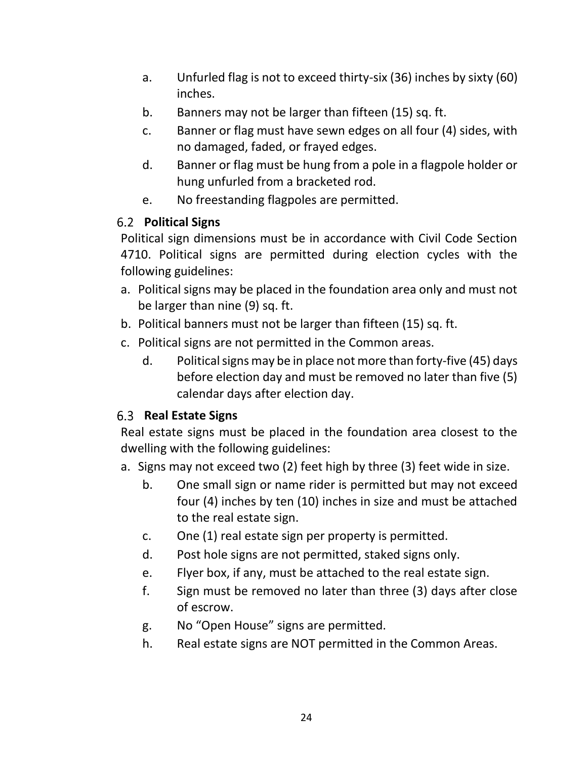- a. Unfurled flag is not to exceed thirty-six (36) inches by sixty (60) inches.
- b. Banners may not be larger than fifteen (15) sq. ft.
- c. Banner or flag must have sewn edges on all four (4) sides, with no damaged, faded, or frayed edges.
- d. Banner or flag must be hung from a pole in a flagpole holder or hung unfurled from a bracketed rod.
- e. No freestanding flagpoles are permitted.

### <span id="page-24-0"></span>**Political Signs**

Political sign dimensions must be in accordance with Civil Code Section 4710. Political signs are permitted during election cycles with the following guidelines:

- a. Political signs may be placed in the foundation area only and must not be larger than nine (9) sq. ft.
- b. Political banners must not be larger than fifteen (15) sq. ft.
- c. Political signs are not permitted in the Common areas.
	- d. Political signs may be in place not more than forty-five (45) days before election day and must be removed no later than five (5) calendar days after election day.

### <span id="page-24-1"></span>**Real Estate Signs**

Real estate signs must be placed in the foundation area closest to the dwelling with the following guidelines:

- a. Signs may not exceed two (2) feet high by three (3) feet wide in size.
	- b. One small sign or name rider is permitted but may not exceed four (4) inches by ten (10) inches in size and must be attached to the real estate sign.
	- c. One (1) real estate sign per property is permitted.
	- d. Post hole signs are not permitted, staked signs only.
	- e. Flyer box, if any, must be attached to the real estate sign.
	- f. Sign must be removed no later than three (3) days after close of escrow.
	- g. No "Open House" signs are permitted.
	- h. Real estate signs are NOT permitted in the Common Areas.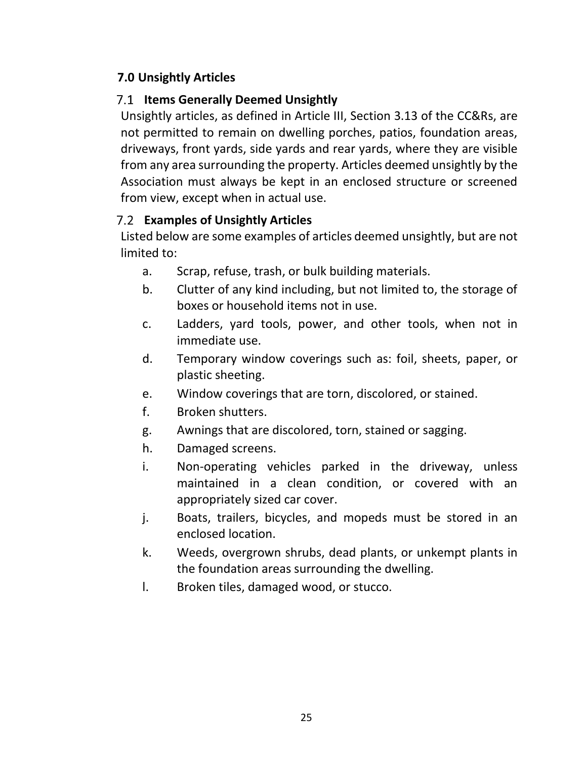# <span id="page-25-0"></span>**7.0 Unsightly Articles**

# <span id="page-25-1"></span>**7.1 Items Generally Deemed Unsightly**

Unsightly articles, as defined in Article III, Section 3.13 of the CC&Rs, are not permitted to remain on dwelling porches, patios, foundation areas, driveways, front yards, side yards and rear yards, where they are visible from any area surrounding the property. Articles deemed unsightly by the Association must always be kept in an enclosed structure or screened from view, except when in actual use.

# <span id="page-25-2"></span>**Examples of Unsightly Articles**

Listed below are some examples of articles deemed unsightly, but are not limited to:

- a. Scrap, refuse, trash, or bulk building materials.
- b. Clutter of any kind including, but not limited to, the storage of boxes or household items not in use.
- c. Ladders, yard tools, power, and other tools, when not in immediate use.
- d. Temporary window coverings such as: foil, sheets, paper, or plastic sheeting.
- e. Window coverings that are torn, discolored, or stained.
- f. Broken shutters.
- g. Awnings that are discolored, torn, stained or sagging.
- h. Damaged screens.
- i. Non-operating vehicles parked in the driveway, unless maintained in a clean condition, or covered with an appropriately sized car cover.
- j. Boats, trailers, bicycles, and mopeds must be stored in an enclosed location.
- k. Weeds, overgrown shrubs, dead plants, or unkempt plants in the foundation areas surrounding the dwelling.
- l. Broken tiles, damaged wood, or stucco.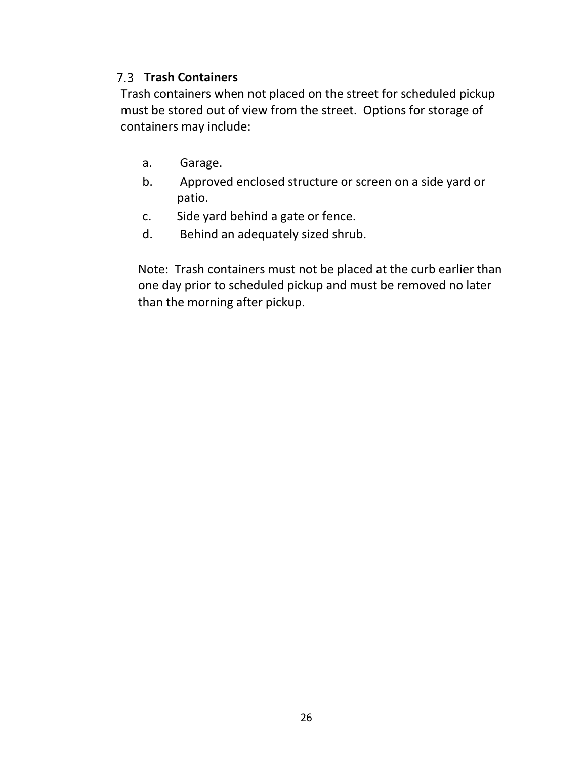#### **Trash Containers**

Trash containers when not placed on the street for scheduled pickup must be stored out of view from the street. Options for storage of containers may include:

- a. Garage.
- b. Approved enclosed structure or screen on a side yard or patio.
- c. Side yard behind a gate or fence.
- d. Behind an adequately sized shrub.

Note: Trash containers must not be placed at the curb earlier than one day prior to scheduled pickup and must be removed no later than the morning after pickup.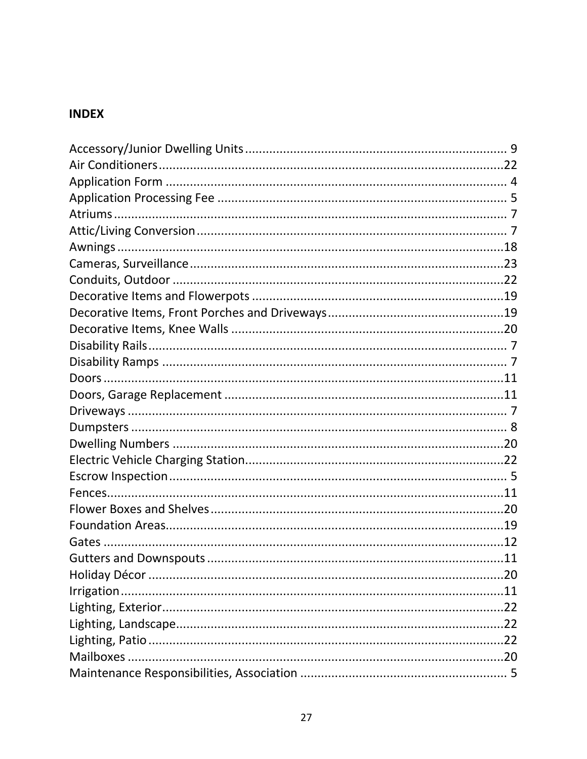# <span id="page-27-0"></span>**INDEX**